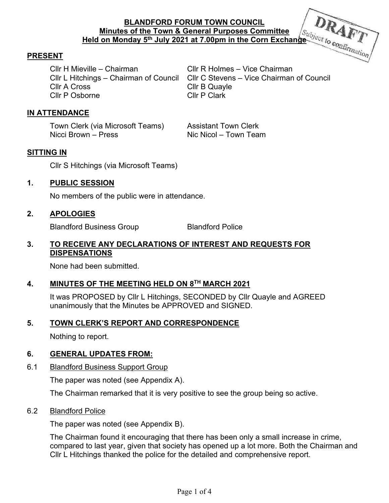# **BLANDFORD FORUM TOWN COUNCIL Minutes of the Town & General Purposes Committee Held on Monday 5<sup>th</sup> July 2021 at 7.00pm in the Corn Exchange** *Confirmation*

# **PRESENT**

Cllr H Mieville – Chairman Cllr R Holmes – Vice Chairman Cllr A Cross Cllr B Quayle Cllr P Osborne Cllr P Clark

Cllr L Hitchings – Chairman of Council Cllr C Stevens – Vice Chairman of Council

# **IN ATTENDANCE**

Town Clerk (via Microsoft Teams) Assistant Town Clerk Nicci Brown – Press Nic Nic Nicol – Town Team

# **SITTING IN**

Cllr S Hitchings (via Microsoft Teams)

### **1. PUBLIC SESSION**

No members of the public were in attendance.

### **2. APOLOGIES**

Blandford Business Group Blandford Police

#### **3. TO RECEIVE ANY DECLARATIONS OF INTEREST AND REQUESTS FOR DISPENSATIONS**

None had been submitted.

# **4. MINUTES OF THE MEETING HELD ON 8TH MARCH 2021**

It was PROPOSED by Cllr L Hitchings, SECONDED by Cllr Quayle and AGREED unanimously that the Minutes be APPROVED and SIGNED.

# **5. TOWN CLERK'S REPORT AND CORRESPONDENCE**

Nothing to report.

# **6. GENERAL UPDATES FROM:**

# 6.1 Blandford Business Support Group

The paper was noted (see Appendix A).

The Chairman remarked that it is very positive to see the group being so active.

# 6.2 Blandford Police

The paper was noted (see Appendix B).

The Chairman found it encouraging that there has been only a small increase in crime, compared to last year, given that society has opened up a lot more. Both the Chairman and Cllr L Hitchings thanked the police for the detailed and comprehensive report.

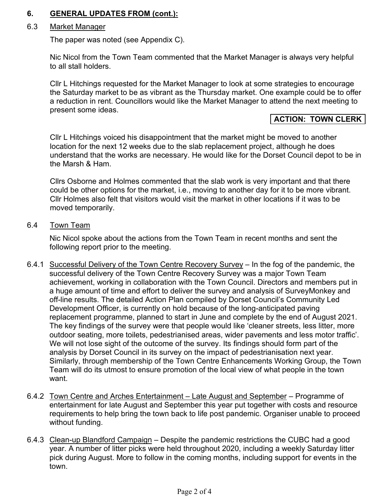# **6. GENERAL UPDATES FROM (cont.):**

#### 6.3 Market Manager

The paper was noted (see Appendix C).

 Nic Nicol from the Town Team commented that the Market Manager is always very helpful to all stall holders.

 Cllr L Hitchings requested for the Market Manager to look at some strategies to encourage the Saturday market to be as vibrant as the Thursday market. One example could be to offer a reduction in rent. Councillors would like the Market Manager to attend the next meeting to present some ideas.

# **ACTION: TOWN CLERK**

 Cllr L Hitchings voiced his disappointment that the market might be moved to another location for the next 12 weeks due to the slab replacement project, although he does understand that the works are necessary. He would like for the Dorset Council depot to be in the Marsh & Ham.

 Cllrs Osborne and Holmes commented that the slab work is very important and that there could be other options for the market, i.e., moving to another day for it to be more vibrant. Cllr Holmes also felt that visitors would visit the market in other locations if it was to be moved temporarily.

6.4 Town Team

 Nic Nicol spoke about the actions from the Town Team in recent months and sent the following report prior to the meeting.

- 6.4.1 Successful Delivery of the Town Centre Recovery Survey In the fog of the pandemic, the successful delivery of the Town Centre Recovery Survey was a major Town Team achievement, working in collaboration with the Town Council. Directors and members put in a huge amount of time and effort to deliver the survey and analysis of SurveyMonkey and off-line results. The detailed Action Plan compiled by Dorset Council's Community Led Development Officer, is currently on hold because of the long-anticipated paving replacement programme, planned to start in June and complete by the end of August 2021. The key findings of the survey were that people would like 'cleaner streets, less litter, more outdoor seating, more toilets, pedestrianised areas, wider pavements and less motor traffic'. We will not lose sight of the outcome of the survey. Its findings should form part of the analysis by Dorset Council in its survey on the impact of pedestrianisation next year. Similarly, through membership of the Town Centre Enhancements Working Group, the Town Team will do its utmost to ensure promotion of the local view of what people in the town want.
- 6.4.2 Town Centre and Arches Entertainment Late August and September Programme of entertainment for late August and September this year put together with costs and resource requirements to help bring the town back to life post pandemic. Organiser unable to proceed without funding.
- 6.4.3 Clean-up Blandford Campaign Despite the pandemic restrictions the CUBC had a good year. A number of litter picks were held throughout 2020, including a weekly Saturday litter pick during August. More to follow in the coming months, including support for events in the town.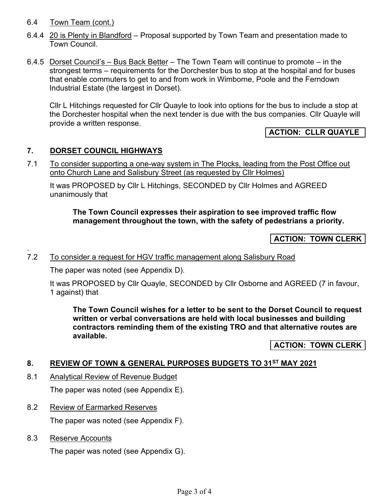### 6.4 Town Team (cont.)

- 6.4.4 20 is Plenty in Blandford Proposal supported by Town Team and presentation made to Town Council.
- 6.4.5 Dorset Council's Bus Back Better The Town Team will continue to promote in the strongest terms – requirements for the Dorchester bus to stop at the hospital and for buses that enable commuters to get to and from work in Wimborne, Poole and the Ferndown Industrial Estate (the largest in Dorset).

Cllr L Hitchings requested for Cllr Quayle to look into options for the bus to include a stop at the Dorchester hospital when the next tender is due with the bus companies. Cllr Quayle will provide a written response.

# **ACTION: CLLR QUAYLE**

### **7. DORSET COUNCIL HIGHWAYS**

7.1 To consider supporting a one-way system in The Plocks, leading from the Post Office out onto Church Lane and Salisbury Street (as requested by Cllr Holmes)

It was PROPOSED by Cllr L Hitchings, SECONDED by Cllr Holmes and AGREED unanimously that

#### **The Town Council expresses their aspiration to see improved traffic flow management throughout the town, with the safety of pedestrians a priority.**

# **ACTION: TOWN CLERK**

### 7.2 To consider a request for HGV traffic management along Salisbury Road

The paper was noted (see Appendix D).

It was PROPOSED by Cllr Quayle, SECONDED by Cllr Osborne and AGREED (7 in favour, 1 against) that

**The Town Council wishes for a letter to be sent to the Dorset Council to request written or verbal conversations are held with local businesses and building contractors reminding them of the existing TRO and that alternative routes are available.**

**ACTION: TOWN CLERK** 

#### **8. REVIEW OF TOWN & GENERAL PURPOSES BUDGETS TO 31ST MAY 2021**

- 8.1 Analytical Review of Revenue Budget The paper was noted (see Appendix E).
- 8.2 Review of Earmarked Reserves The paper was noted (see Appendix F).
- 8.3 Reserve Accounts

.

The paper was noted (see Appendix G).